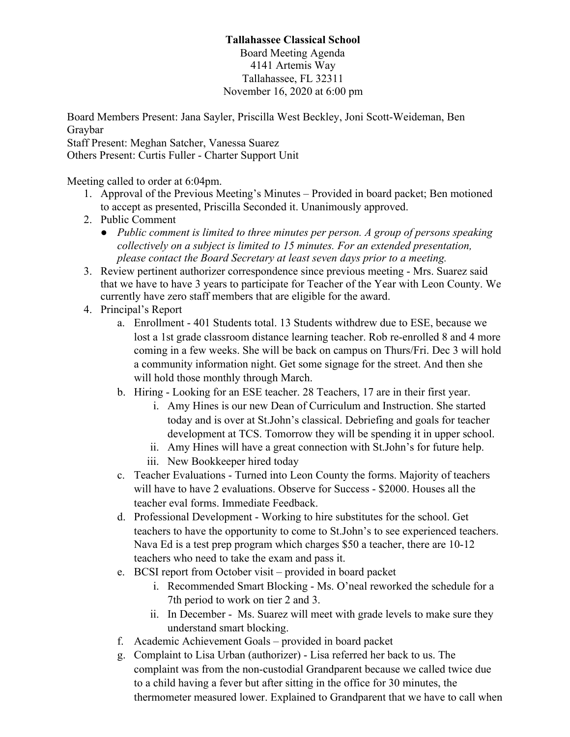## **Tallahassee Classical School**

Board Meeting Agenda 4141 Artemis Way Tallahassee, FL 32311 November 16, 2020 at 6:00 pm

Board Members Present: Jana Sayler, Priscilla West Beckley, Joni Scott-Weideman, Ben Graybar Staff Present: Meghan Satcher, Vanessa Suarez

Others Present: Curtis Fuller - Charter Support Unit

Meeting called to order at 6:04pm.

- 1. Approval of the Previous Meeting's Minutes Provided in board packet; Ben motioned to accept as presented, Priscilla Seconded it. Unanimously approved.
- 2. Public Comment
	- *● Public comment is limited to three minutes per person. A group of persons speaking collectively on a subject is limited to 15 minutes. For an extended presentation, please contact the Board Secretary at least seven days prior to a meeting.*
- 3. Review pertinent authorizer correspondence since previous meeting Mrs. Suarez said that we have to have 3 years to participate for Teacher of the Year with Leon County. We currently have zero staff members that are eligible for the award.
- 4. Principal's Report
	- a. Enrollment 401 Students total. 13 Students withdrew due to ESE, because we lost a 1st grade classroom distance learning teacher. Rob re-enrolled 8 and 4 more coming in a few weeks. She will be back on campus on Thurs/Fri. Dec 3 will hold a community information night. Get some signage for the street. And then she will hold those monthly through March.
	- b. Hiring Looking for an ESE teacher. 28 Teachers, 17 are in their first year.
		- i. Amy Hines is our new Dean of Curriculum and Instruction. She started today and is over at St.John's classical. Debriefing and goals for teacher development at TCS. Tomorrow they will be spending it in upper school.
		- ii. Amy Hines will have a great connection with St.John's for future help.
		- iii. New Bookkeeper hired today
	- c. Teacher Evaluations Turned into Leon County the forms. Majority of teachers will have to have 2 evaluations. Observe for Success - \$2000. Houses all the teacher eval forms. Immediate Feedback.
	- d. Professional Development Working to hire substitutes for the school. Get teachers to have the opportunity to come to St.John's to see experienced teachers. Nava Ed is a test prep program which charges \$50 a teacher, there are 10-12 teachers who need to take the exam and pass it.
	- e. BCSI report from October visit provided in board packet
		- i. Recommended Smart Blocking Ms. O'neal reworked the schedule for a 7th period to work on tier 2 and 3.
		- ii. In December Ms. Suarez will meet with grade levels to make sure they understand smart blocking.
	- f. Academic Achievement Goals provided in board packet
	- g. Complaint to Lisa Urban (authorizer) Lisa referred her back to us. The complaint was from the non-custodial Grandparent because we called twice due to a child having a fever but after sitting in the office for 30 minutes, the thermometer measured lower. Explained to Grandparent that we have to call when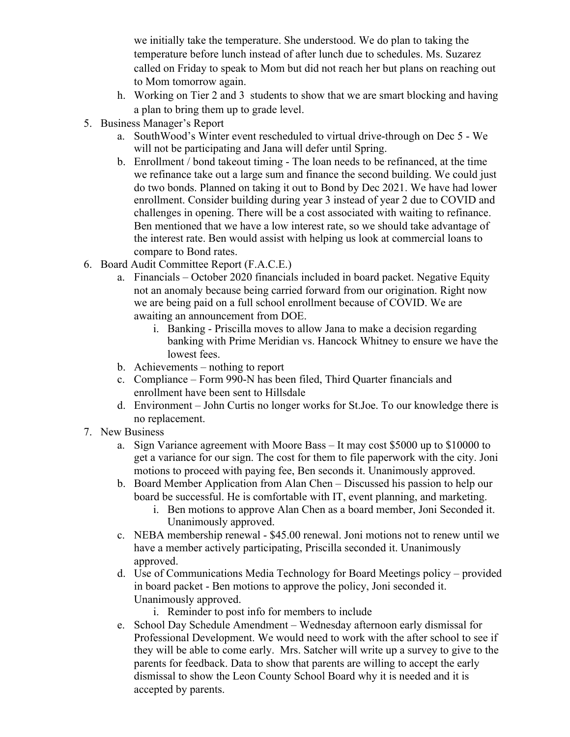we initially take the temperature. She understood. We do plan to taking the temperature before lunch instead of after lunch due to schedules. Ms. Suzarez called on Friday to speak to Mom but did not reach her but plans on reaching out to Mom tomorrow again.

- h. Working on Tier 2 and 3 students to show that we are smart blocking and having a plan to bring them up to grade level.
- 5. Business Manager's Report
	- a. SouthWood's Winter event rescheduled to virtual drive-through on Dec 5 We will not be participating and Jana will defer until Spring.
	- b. Enrollment / bond takeout timing The loan needs to be refinanced, at the time we refinance take out a large sum and finance the second building. We could just do two bonds. Planned on taking it out to Bond by Dec 2021. We have had lower enrollment. Consider building during year 3 instead of year 2 due to COVID and challenges in opening. There will be a cost associated with waiting to refinance. Ben mentioned that we have a low interest rate, so we should take advantage of the interest rate. Ben would assist with helping us look at commercial loans to compare to Bond rates.
- 6. Board Audit Committee Report (F.A.C.E.)
	- a. Financials October 2020 financials included in board packet. Negative Equity not an anomaly because being carried forward from our origination. Right now we are being paid on a full school enrollment because of COVID. We are awaiting an announcement from DOE.
		- i. Banking Priscilla moves to allow Jana to make a decision regarding banking with Prime Meridian vs. Hancock Whitney to ensure we have the lowest fees.
	- b. Achievements nothing to report
	- c. Compliance Form 990-N has been filed, Third Quarter financials and enrollment have been sent to Hillsdale
	- d. Environment John Curtis no longer works for St.Joe. To our knowledge there is no replacement.
- 7. New Business
	- a. Sign Variance agreement with Moore Bass It may cost \$5000 up to \$10000 to get a variance for our sign. The cost for them to file paperwork with the city. Joni motions to proceed with paying fee, Ben seconds it. Unanimously approved.
	- b. Board Member Application from Alan Chen Discussed his passion to help our board be successful. He is comfortable with IT, event planning, and marketing.
		- i. Ben motions to approve Alan Chen as a board member, Joni Seconded it. Unanimously approved.
	- c. NEBA membership renewal \$45.00 renewal. Joni motions not to renew until we have a member actively participating, Priscilla seconded it. Unanimously approved.
	- d. Use of Communications Media Technology for Board Meetings policy provided in board packet - Ben motions to approve the policy, Joni seconded it. Unanimously approved.
		- i. Reminder to post info for members to include
	- e. School Day Schedule Amendment Wednesday afternoon early dismissal for Professional Development. We would need to work with the after school to see if they will be able to come early. Mrs. Satcher will write up a survey to give to the parents for feedback. Data to show that parents are willing to accept the early dismissal to show the Leon County School Board why it is needed and it is accepted by parents.